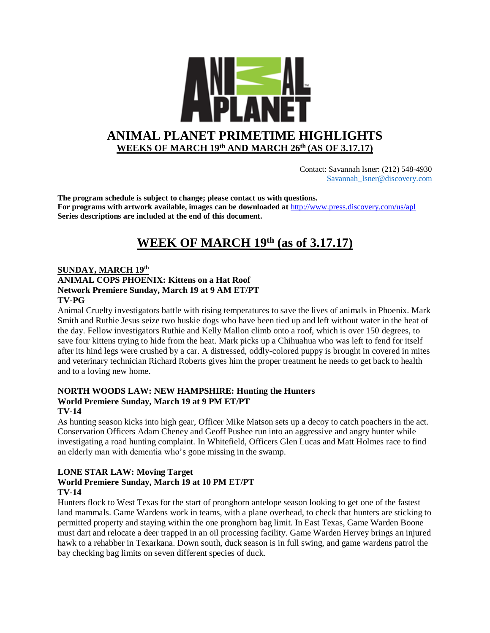

 Contact: Savannah Isner: (212) 548-4930 [Savannah\\_Isner@discovery.com](mailto:Savannah_Isner@discovery.com)

**The program schedule is subject to change; please contact us with questions. For programs with artwork available, images can be downloaded at** http://www.press.discovery.com/us/apl **Series descriptions are included at the end of this document.** 

# **WEEK OF MARCH 19th (as of 3.17.17)**

#### **SUNDAY, MARCH 19th**

## **ANIMAL COPS PHOENIX: Kittens on a Hat Roof Network Premiere Sunday, March 19 at 9 AM ET/PT TV-PG**

Animal Cruelty investigators battle with rising temperatures to save the lives of animals in Phoenix. Mark Smith and Ruthie Jesus seize two huskie dogs who have been tied up and left without water in the heat of the day. Fellow investigators Ruthie and Kelly Mallon climb onto a roof, which is over 150 degrees, to save four kittens trying to hide from the heat. Mark picks up a Chihuahua who was left to fend for itself after its hind legs were crushed by a car. A distressed, oddly-colored puppy is brought in covered in mites and veterinary technician Richard Roberts gives him the proper treatment he needs to get back to health and to a loving new home.

#### **NORTH WOODS LAW: NEW HAMPSHIRE: Hunting the Hunters World Premiere Sunday, March 19 at 9 PM ET/PT TV-14**

As hunting season kicks into high gear, Officer Mike Matson sets up a decoy to catch poachers in the act. Conservation Officers Adam Cheney and Geoff Pushee run into an aggressive and angry hunter while investigating a road hunting complaint. In Whitefield, Officers Glen Lucas and Matt Holmes race to find an elderly man with dementia who's gone missing in the swamp.

#### **LONE STAR LAW: Moving Target World Premiere Sunday, March 19 at 10 PM ET/PT TV-14**

Hunters flock to West Texas for the start of pronghorn antelope season looking to get one of the fastest land mammals. Game Wardens work in teams, with a plane overhead, to check that hunters are sticking to permitted property and staying within the one pronghorn bag limit. In East Texas, Game Warden Boone must dart and relocate a deer trapped in an oil processing facility. Game Warden Hervey brings an injured hawk to a rehabber in Texarkana. Down south, duck season is in full swing, and game wardens patrol the bay checking bag limits on seven different species of duck.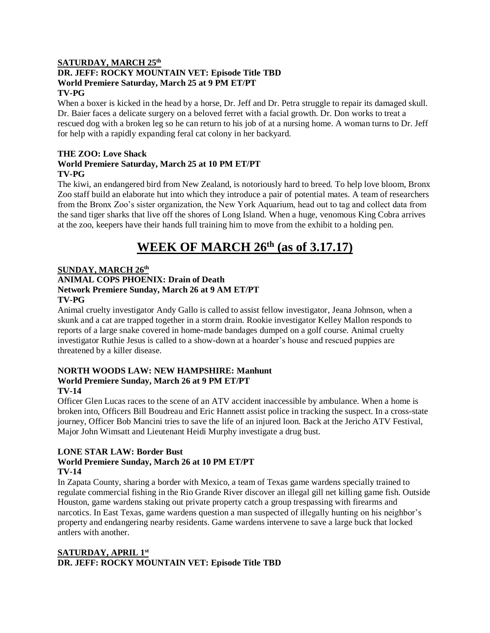#### **SATURDAY, MARCH 25th DR. JEFF: ROCKY MOUNTAIN VET: Episode Title TBD World Premiere Saturday, March 25 at 9 PM ET/PT TV-PG**

When a boxer is kicked in the head by a horse, Dr. Jeff and Dr. Petra struggle to repair its damaged skull. Dr. Baier faces a delicate surgery on a beloved ferret with a facial growth. Dr. Don works to treat a rescued dog with a broken leg so he can return to his job of at a nursing home. A woman turns to Dr. Jeff for help with a rapidly expanding feral cat colony in her backyard.

## **THE ZOO: Love Shack World Premiere Saturday, March 25 at 10 PM ET/PT TV-PG**

The kiwi, an endangered bird from New Zealand, is notoriously hard to breed. To help love bloom, Bronx Zoo staff build an elaborate hut into which they introduce a pair of potential mates. A team of researchers from the Bronx Zoo's sister organization, the New York Aquarium, head out to tag and collect data from the sand tiger sharks that live off the shores of Long Island. When a huge, venomous King Cobra arrives at the zoo, keepers have their hands full training him to move from the exhibit to a holding pen.

# **WEEK OF MARCH 26th (as of 3.17.17)**

# **SUNDAY, MARCH 26th**

## **ANIMAL COPS PHOENIX: Drain of Death Network Premiere Sunday, March 26 at 9 AM ET/PT TV-PG**

Animal cruelty investigator Andy Gallo is called to assist fellow investigator, Jeana Johnson, when a skunk and a cat are trapped together in a storm drain. Rookie investigator Kelley Mallon responds to reports of a large snake covered in home-made bandages dumped on a golf course. Animal cruelty investigator Ruthie Jesus is called to a show-down at a hoarder's house and rescued puppies are threatened by a killer disease.

## **NORTH WOODS LAW: NEW HAMPSHIRE: Manhunt World Premiere Sunday, March 26 at 9 PM ET/PT TV-14**

Officer Glen Lucas races to the scene of an ATV accident inaccessible by ambulance. When a home is broken into, Officers Bill Boudreau and Eric Hannett assist police in tracking the suspect. In a cross-state journey, Officer Bob Mancini tries to save the life of an injured loon. Back at the Jericho ATV Festival, Major John Wimsatt and Lieutenant Heidi Murphy investigate a drug bust.

# **LONE STAR LAW: Border Bust**

# **World Premiere Sunday, March 26 at 10 PM ET/PT TV-14**

In Zapata County, sharing a border with Mexico, a team of Texas game wardens specially trained to regulate commercial fishing in the Rio Grande River discover an illegal gill net killing game fish. Outside Houston, game wardens staking out private property catch a group trespassing with firearms and narcotics. In East Texas, game wardens question a man suspected of illegally hunting on his neighbor's property and endangering nearby residents. Game wardens intervene to save a large buck that locked antlers with another.

# **SATURDAY, APRIL 1st DR. JEFF: ROCKY MOUNTAIN VET: Episode Title TBD**